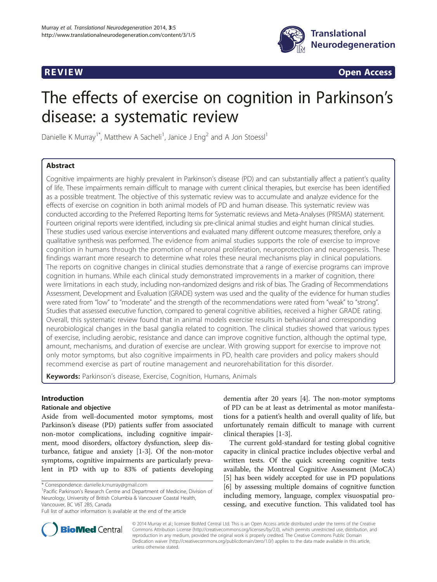

R EVI EW Open Access

# The effects of exercise on cognition in Parkinson's disease: a systematic review

Danielle K Murray<sup>1\*</sup>, Matthew A Sacheli<sup>1</sup>, Janice J Eng<sup>2</sup> and A Jon Stoessl<sup>1</sup>

# Abstract

Cognitive impairments are highly prevalent in Parkinson's disease (PD) and can substantially affect a patient's quality of life. These impairments remain difficult to manage with current clinical therapies, but exercise has been identified as a possible treatment. The objective of this systematic review was to accumulate and analyze evidence for the effects of exercise on cognition in both animal models of PD and human disease. This systematic review was conducted according to the Preferred Reporting Items for Systematic reviews and Meta-Analyses (PRISMA) statement. Fourteen original reports were identified, including six pre-clinical animal studies and eight human clinical studies. These studies used various exercise interventions and evaluated many different outcome measures; therefore, only a qualitative synthesis was performed. The evidence from animal studies supports the role of exercise to improve cognition in humans through the promotion of neuronal proliferation, neuroprotection and neurogenesis. These findings warrant more research to determine what roles these neural mechanisms play in clinical populations. The reports on cognitive changes in clinical studies demonstrate that a range of exercise programs can improve cognition in humans. While each clinical study demonstrated improvements in a marker of cognition, there were limitations in each study, including non-randomized designs and risk of bias. The Grading of Recommendations Assessment, Development and Evaluation (GRADE) system was used and the quality of the evidence for human studies were rated from "low" to "moderate" and the strength of the recommendations were rated from "weak" to "strong". Studies that assessed executive function, compared to general cognitive abilities, received a higher GRADE rating. Overall, this systematic review found that in animal models exercise results in behavioral and corresponding neurobiological changes in the basal ganglia related to cognition. The clinical studies showed that various types of exercise, including aerobic, resistance and dance can improve cognitive function, although the optimal type, amount, mechanisms, and duration of exercise are unclear. With growing support for exercise to improve not only motor symptoms, but also cognitive impairments in PD, health care providers and policy makers should recommend exercise as part of routine management and neurorehabilitation for this disorder.

Keywords: Parkinson's disease, Exercise, Cognition, Humans, Animals

# Introduction

# Rationale and objective

Aside from well-documented motor symptoms, most Parkinson's disease (PD) patients suffer from associated non-motor complications, including cognitive impairment, mood disorders, olfactory dysfunction, sleep disturbance, fatigue and anxiety [[1-3](#page-11-0)]. Of the non-motor symptoms, cognitive impairments are particularly prevalent in PD with up to 83% of patients developing

<sup>1</sup> Pacific Parkinson's Research Centre and Department of Medicine, Division of Neurology, University of British Columbia & Vancouver Coastal Health, Vancouver, BC V6T 2B5, Canada

dementia after 20 years [\[4](#page-11-0)]. The non-motor symptoms of PD can be at least as detrimental as motor manifestations for a patient's health and overall quality of life, but unfortunately remain difficult to manage with current clinical therapies [[1-3\]](#page-11-0).

The current gold-standard for testing global cognitive capacity in clinical practice includes objective verbal and written tests. Of the quick screening cognitive tests available, the Montreal Cognitive Assessment (MoCA) [[5\]](#page-11-0) has been widely accepted for use in PD populations [[6\]](#page-11-0) by assessing multiple domains of cognitive function including memory, language, complex visuospatial processing, and executive function. This validated tool has



© 2014 Murray et al.; licensee BioMed Central Ltd. This is an Open Access article distributed under the terms of the Creative Commons Attribution License [\(http://creativecommons.org/licenses/by/2.0\)](http://creativecommons.org/licenses/by/2.0), which permits unrestricted use, distribution, and reproduction in any medium, provided the original work is properly credited. The Creative Commons Public Domain Dedication waiver [\(http://creativecommons.org/publicdomain/zero/1.0/](http://creativecommons.org/publicdomain/zero/1.0/)) applies to the data made available in this article, unless otherwise stated.

<sup>\*</sup> Correspondence: [danielle.k.murray@gmail.com](mailto:danielle.k.murray@gmail.com) <sup>1</sup>

Full list of author information is available at the end of the article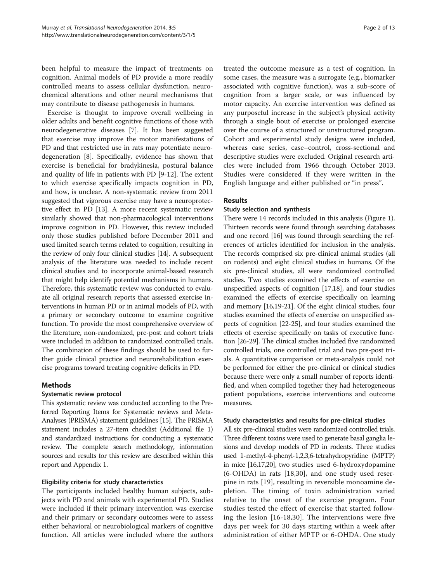been helpful to measure the impact of treatments on cognition. Animal models of PD provide a more readily controlled means to assess cellular dysfunction, neurochemical alterations and other neural mechanisms that may contribute to disease pathogenesis in humans.

Exercise is thought to improve overall wellbeing in older adults and benefit cognitive functions of those with neurodegenerative diseases [[7\]](#page-11-0). It has been suggested that exercise may improve the motor manifestations of PD and that restricted use in rats may potentiate neurodegeneration [\[8](#page-11-0)]. Specifically, evidence has shown that exercise is beneficial for bradykinesia, postural balance and quality of life in patients with PD [\[9-12](#page-11-0)]. The extent to which exercise specifically impacts cognition in PD, and how, is unclear. A non-systematic review from 2011 suggested that vigorous exercise may have a neuroprotective effect in PD [[13](#page-11-0)]. A more recent systematic review similarly showed that non-pharmacological interventions improve cognition in PD. However, this review included only those studies published before December 2011 and used limited search terms related to cognition, resulting in the review of only four clinical studies [\[14](#page-11-0)]. A subsequent analysis of the literature was needed to include recent clinical studies and to incorporate animal-based research that might help identify potential mechanisms in humans. Therefore, this systematic review was conducted to evaluate all original research reports that assessed exercise interventions in human PD or in animal models of PD, with a primary or secondary outcome to examine cognitive function. To provide the most comprehensive overview of the literature, non-randomized, pre-post and cohort trials were included in addition to randomized controlled trials. The combination of these findings should be used to further guide clinical practice and neurorehabilitation exercise programs toward treating cognitive deficits in PD.

# Methods

# Systematic review protocol

This systematic review was conducted according to the Preferred Reporting Items for Systematic reviews and Meta-Analyses (PRISMA) statement guidelines [\[15](#page-11-0)]. The PRISMA statement includes a 27-item checklist (Additional file [1](#page-11-0)) and standardized instructions for conducting a systematic review. The complete search methodology, information sources and results for this review are described within this report and Appendix [1](#page-10-0).

# Eligibility criteria for study characteristics

The participants included healthy human subjects, subjects with PD and animals with experimental PD. Studies were included if their primary intervention was exercise and their primary or secondary outcomes were to assess either behavioral or neurobiological markers of cognitive function. All articles were included where the authors

treated the outcome measure as a test of cognition. In some cases, the measure was a surrogate (e.g., biomarker associated with cognitive function), was a sub-score of cognition from a larger scale, or was influenced by motor capacity. An exercise intervention was defined as any purposeful increase in the subject's physical activity through a single bout of exercise or prolonged exercise over the course of a structured or unstructured program. Cohort and experimental study designs were included, whereas case series, case–control, cross-sectional and descriptive studies were excluded. Original research articles were included from 1966 through October 2013. Studies were considered if they were written in the English language and either published or "in press".

# Results

#### Study selection and synthesis

There were 14 records included in this analysis (Figure [1](#page-2-0)). Thirteen records were found through searching databases and one record [\[16](#page-11-0)] was found through searching the references of articles identified for inclusion in the analysis. The records comprised six pre-clinical animal studies (all on rodents) and eight clinical studies in humans. Of the six pre-clinical studies, all were randomized controlled studies. Two studies examined the effects of exercise on unspecified aspects of cognition [\[17,18](#page-11-0)], and four studies examined the effects of exercise specifically on learning and memory [\[16,19-](#page-11-0)[21\]](#page-12-0). Of the eight clinical studies, four studies examined the effects of exercise on unspecified aspects of cognition [[22-25\]](#page-12-0), and four studies examined the effects of exercise specifically on tasks of executive function [\[26](#page-12-0)-[29](#page-12-0)]. The clinical studies included five randomized controlled trials, one controlled trial and two pre-post trials. A quantitative comparison or meta-analysis could not be performed for either the pre-clinical or clinical studies because there were only a small number of reports identified, and when compiled together they had heterogeneous patient populations, exercise interventions and outcome measures.

#### Study characteristics and results for pre-clinical studies

All six pre-clinical studies were randomized controlled trials. Three different toxins were used to generate basal ganglia lesions and develop models of PD in rodents. Three studies used 1-methyl-4-phenyl-1,2,3,6-tetrahydropyridine (MPTP) in mice [\[16,17,](#page-11-0)[20](#page-12-0)], two studies used 6-hydroxydopamine (6-OHDA) in rats [[18](#page-11-0)[,30](#page-12-0)], and one study used reserpine in rats [[19\]](#page-11-0), resulting in reversible monoamine depletion. The timing of toxin administration varied relative to the onset of the exercise program. Four studies tested the effect of exercise that started following the lesion [\[16](#page-11-0)-[18](#page-11-0)[,30\]](#page-12-0). The interventions were five days per week for 30 days starting within a week after administration of either MPTP or 6-OHDA. One study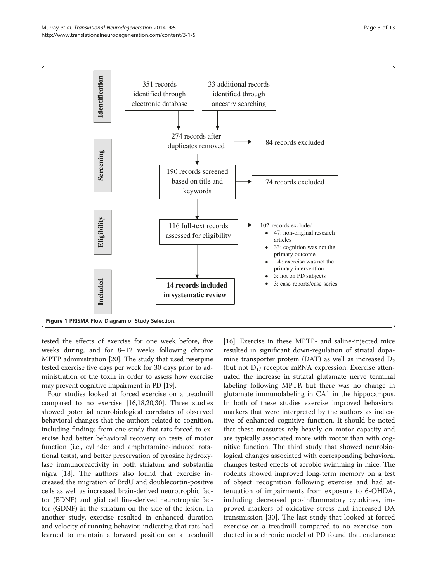<span id="page-2-0"></span>

tested the effects of exercise for one week before, five weeks during, and for 8–12 weeks following chronic MPTP administration [\[20\]](#page-12-0). The study that used reserpine tested exercise five days per week for 30 days prior to administration of the toxin in order to assess how exercise may prevent cognitive impairment in PD [[19](#page-11-0)].

Four studies looked at forced exercise on a treadmill compared to no exercise [\[16,18](#page-11-0)[,20,30\]](#page-12-0). Three studies showed potential neurobiological correlates of observed behavioral changes that the authors related to cognition, including findings from one study that rats forced to exercise had better behavioral recovery on tests of motor function (i.e., cylinder and amphetamine-induced rotational tests), and better preservation of tyrosine hydroxylase immunoreactivity in both striatum and substantia nigra [[18](#page-11-0)]. The authors also found that exercise increased the migration of BrdU and doublecortin-positive cells as well as increased brain-derived neurotrophic factor (BDNF) and glial cell line-derived neurotrophic factor (GDNF) in the striatum on the side of the lesion. In another study, exercise resulted in enhanced duration and velocity of running behavior, indicating that rats had learned to maintain a forward position on a treadmill

[[16\]](#page-11-0). Exercise in these MPTP- and saline-injected mice resulted in significant down-regulation of striatal dopamine transporter protein (DAT) as well as increased  $D_2$ (but not  $D_1$ ) receptor mRNA expression. Exercise attenuated the increase in striatal glutamate nerve terminal labeling following MPTP, but there was no change in glutamate immunolabeling in CA1 in the hippocampus. In both of these studies exercise improved behavioral markers that were interpreted by the authors as indicative of enhanced cognitive function. It should be noted that these measures rely heavily on motor capacity and are typically associated more with motor than with cognitive function. The third study that showed neurobiological changes associated with corresponding behavioral changes tested effects of aerobic swimming in mice. The rodents showed improved long-term memory on a test of object recognition following exercise and had attenuation of impairments from exposure to 6-OHDA, including decreased pro-inflammatory cytokines, improved markers of oxidative stress and increased DA transmission [\[30](#page-12-0)]. The last study that looked at forced exercise on a treadmill compared to no exercise conducted in a chronic model of PD found that endurance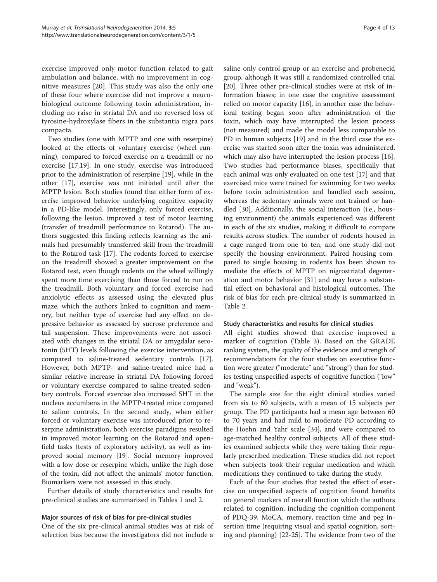exercise improved only motor function related to gait ambulation and balance, with no improvement in cognitive measures [[20\]](#page-12-0). This study was also the only one of these four where exercise did not improve a neurobiological outcome following toxin administration, including no raise in striatal DA and no reversed loss of tyrosine-hydroxylase fibers in the substantia nigra pars compacta.

Two studies (one with MPTP and one with reserpine) looked at the effects of voluntary exercise (wheel running), compared to forced exercise on a treadmill or no exercise [[17,19\]](#page-11-0). In one study, exercise was introduced prior to the administration of reserpine [\[19\]](#page-11-0), while in the other [[17](#page-11-0)], exercise was not initiated until after the MPTP lesion. Both studies found that either form of exercise improved behavior underlying cognitive capacity in a PD-like model. Interestingly, only forced exercise, following the lesion, improved a test of motor learning (transfer of treadmill performance to Rotarod). The authors suggested this finding reflects learning as the animals had presumably transferred skill from the treadmill to the Rotarod task [\[17](#page-11-0)]. The rodents forced to exercise on the treadmill showed a greater improvement on the Rotarod test, even though rodents on the wheel willingly spent more time exercising than those forced to run on the treadmill. Both voluntary and forced exercise had anxiolytic effects as assessed using the elevated plus maze, which the authors linked to cognition and memory, but neither type of exercise had any effect on depressive behavior as assessed by sucrose preference and tail suspension. These improvements were not associated with changes in the striatal DA or amygdalar serotonin (5HT) levels following the exercise intervention, as compared to saline-treated sedentary controls [\[17](#page-11-0)]. However, both MPTP- and saline-treated mice had a similar relative increase in striatal DA following forced or voluntary exercise compared to saline-treated sedentary controls. Forced exercise also increased 5HT in the nucleus accumbens in the MPTP-treated mice compared to saline controls. In the second study, when either forced or voluntary exercise was introduced prior to reserpine administration, both exercise paradigms resulted in improved motor learning on the Rotarod and openfield tasks (tests of exploratory activity), as well as improved social memory [[19](#page-11-0)]. Social memory improved with a low dose or reserpine which, unlike the high dose of the toxin, did not affect the animals' motor function. Biomarkers were not assessed in this study.

Further details of study characteristics and results for pre-clinical studies are summarized in Tables [1](#page-4-0) and [2](#page-5-0).

#### Major sources of risk of bias for pre-clinical studies

One of the six pre-clinical animal studies was at risk of selection bias because the investigators did not include a

saline-only control group or an exercise and probenecid group, although it was still a randomized controlled trial [[20\]](#page-12-0). Three other pre-clinical studies were at risk of information biases; in one case the cognitive assessment relied on motor capacity [[16](#page-11-0)], in another case the behavioral testing began soon after administration of the toxin, which may have interrupted the lesion process (not measured) and made the model less comparable to PD in human subjects [\[19](#page-11-0)] and in the third case the exercise was started soon after the toxin was administered, which may also have interrupted the lesion process [\[16](#page-11-0)]. Two studies had performance biases, specifically that each animal was only evaluated on one test [[17](#page-11-0)] and that exercised mice were trained for swimming for two weeks before toxin administration and handled each session, whereas the sedentary animals were not trained or handled [\[30\]](#page-12-0). Additionally, the social interaction (i.e., housing environment) the animals experienced was different in each of the six studies, making it difficult to compare results across studies. The number of rodents housed in a cage ranged from one to ten, and one study did not specify the housing environment. Paired housing compared to single housing in rodents has been shown to mediate the effects of MPTP on nigrostriatal degeneration and motor behavior [\[31\]](#page-12-0) and may have a substantial effect on behavioral and histological outcomes. The risk of bias for each pre-clinical study is summarized in Table [2.](#page-5-0)

#### Study characteristics and results for clinical studies

All eight studies showed that exercise improved a marker of cognition (Table [3](#page-6-0)). Based on the GRADE ranking system, the quality of the evidence and strength of recommendations for the four studies on executive function were greater ("moderate" and "strong") than for studies testing unspecified aspects of cognitive function ("low" and "weak").

The sample size for the eight clinical studies varied from six to 60 subjects, with a mean of 15 subjects per group. The PD participants had a mean age between 60 to 70 years and had mild to moderate PD according to the Hoehn and Yahr scale [\[34\]](#page-12-0), and were compared to age-matched healthy control subjects. All of these studies examined subjects while they were taking their regularly prescribed medication. These studies did not report when subjects took their regular medication and which medications they continued to take during the study.

Each of the four studies that tested the effect of exercise on unspecified aspects of cognition found benefits on general markers of overall function which the authors related to cognition, including the cognition component of PDQ-39, MoCA, memory, reaction time and peg insertion time (requiring visual and spatial cognition, sorting and planning) [[22-25](#page-12-0)]. The evidence from two of the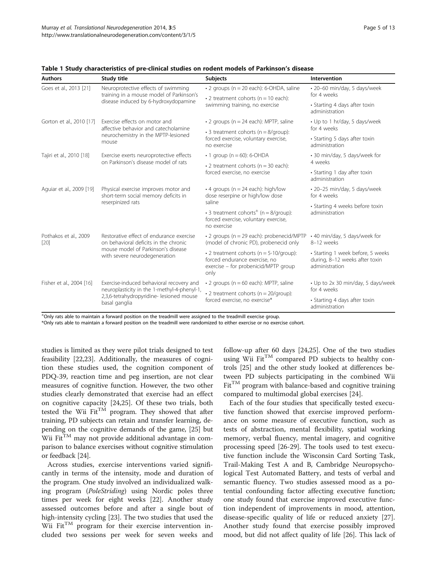| <b>Authors</b>                  | Study title                                                                                                                                              | <b>Subjects</b>                                                                                                                | Intervention                                                                          |  |
|---------------------------------|----------------------------------------------------------------------------------------------------------------------------------------------------------|--------------------------------------------------------------------------------------------------------------------------------|---------------------------------------------------------------------------------------|--|
| Goes et al., 2013 [21]          | Neuroprotective effects of swimming<br>training in a mouse model of Parkinson's<br>disease induced by 6-hydroxydopamine                                  | $\cdot$ 2 groups (n = 20 each): 6-OHDA, saline                                                                                 | · 20-60 min/day, 5 days/week<br>for 4 weeks                                           |  |
|                                 |                                                                                                                                                          | $\cdot$ 2 treatment cohorts (n = 10 each):                                                                                     |                                                                                       |  |
|                                 |                                                                                                                                                          | swimming training, no exercise                                                                                                 | • Starting 4 days after toxin<br>administration                                       |  |
| Gorton et al., 2010 [17]        | Exercise effects on motor and<br>affective behavior and catecholamine<br>neurochemistry in the MPTP-lesioned<br>mouse                                    | $\cdot$ 2 groups (n = 24 each): MPTP, saline                                                                                   | • Up to 1 hr/day, 5 days/week                                                         |  |
|                                 |                                                                                                                                                          | $\cdot$ 3 treatment cohorts (n = 8/group):                                                                                     | for 4 weeks                                                                           |  |
|                                 |                                                                                                                                                          | forced exercise, voluntary exercise,<br>no exercise                                                                            | • Starting 5 days after toxin<br>administration                                       |  |
| Tajiri et al., 2010 [18]        | Exercise exerts neuroprotective effects<br>on Parkinson's disease model of rats                                                                          | • 1 group ( $n = 60$ ): 6-OHDA                                                                                                 | • 30 min/day, 5 days/week for                                                         |  |
|                                 |                                                                                                                                                          | $\cdot$ 2 treatment cohorts (n = 30 each):<br>forced exercise, no exercise                                                     | 4 weeks                                                                               |  |
|                                 |                                                                                                                                                          |                                                                                                                                | • Starting 1 day after toxin<br>administration                                        |  |
| Aguiar et al., 2009 [19]        | Physical exercise improves motor and<br>short-term social memory deficits in<br>reserpinized rats                                                        | • 4 groups ( $n = 24$ each): high/low                                                                                          | · 20-25 min/day, 5 days/week                                                          |  |
|                                 |                                                                                                                                                          | dose reserpine or high/low dose<br>saline                                                                                      | for 4 weeks                                                                           |  |
|                                 |                                                                                                                                                          | • 3 treatment cohorts <sup><math>\pm</math></sup> (n = 8/group):                                                               | • Starting 4 weeks before toxin<br>administration                                     |  |
|                                 |                                                                                                                                                          | forced exercise, voluntary exercise,<br>no exercise                                                                            |                                                                                       |  |
| Pothakos et al., 2009<br>$[20]$ | Restorative effect of endurance exercise<br>on behavioral deficits in the chronic<br>mouse model of Parkinson's disease<br>with severe neurodegeneration | $\cdot$ 2 groups (n = 29 each): probenecid/MPTP                                                                                | • 40 min/day, 5 days/week for                                                         |  |
|                                 |                                                                                                                                                          | (model of chronic PD), probenecid only                                                                                         | 8-12 weeks                                                                            |  |
|                                 |                                                                                                                                                          | $\cdot$ 2 treatment cohorts (n = 5-10/group):<br>forced endurance exercise, no<br>exercise - for probenicid/MPTP group<br>only | • Starting 1 week before, 5 weeks<br>during, 8-12 weeks after toxin<br>administration |  |
| Fisher et al., 2004 [16]        | Exercise-induced behavioral recovery and<br>neuroplasticity in the 1-methyl-4-phenyl-1,<br>2,3,6-tetrahydropyridine- lesioned mouse<br>basal ganglia     | $\cdot$ 2 groups (n = 60 each): MPTP, saline                                                                                   | • Up to 2x 30 min/day, 5 days/week<br>for 4 weeks                                     |  |
|                                 |                                                                                                                                                          | • 2 treatment cohorts ( $n = 20$ /group):                                                                                      |                                                                                       |  |
|                                 |                                                                                                                                                          | forced exercise, no exercise*                                                                                                  | • Starting 4 days after toxin<br>administration                                       |  |

<span id="page-4-0"></span>Table 1 Study characteristics of pre-clinical studies on rodent models of Parkinson's disease

± Only rats able to maintain a forward position on the treadmill were assigned to the treadmill exercise group.

\*Only rats able to maintain a forward position on the treadmill were randomized to either exercise or no exercise cohort.

studies is limited as they were pilot trials designed to test feasibility [[22,23\]](#page-12-0). Additionally, the measures of cognition these studies used, the cognition component of PDQ-39, reaction time and peg insertion, are not clear measures of cognitive function. However, the two other studies clearly demonstrated that exercise had an effect on cognitive capacity [\[24,25](#page-12-0)]. Of these two trials, both tested the Wii  $Fit^{T\dot{M}}$  program. They showed that after training, PD subjects can retain and transfer learning, depending on the cognitive demands of the game, [[25](#page-12-0)] but Wii Fit $^{TM}$  may not provide additional advantage in comparison to balance exercises without cognitive stimulation or feedback [[24](#page-12-0)].

Across studies, exercise interventions varied significantly in terms of the intensity, mode and duration of the program. One study involved an individualized walking program (PoleStriding) using Nordic poles three times per week for eight weeks [[22](#page-12-0)]. Another study assessed outcomes before and after a single bout of high-intensity cycling [[23](#page-12-0)]. The two studies that used the Wii  $Fit^{TM}$  program for their exercise intervention included two sessions per week for seven weeks and

follow-up after 60 days [\[24,25](#page-12-0)]. One of the two studies using Wii Fit<sup>TM</sup> compared PD subjects to healthy controls [\[25\]](#page-12-0) and the other study looked at differences between PD subjects participating in the combined Wii  $Fit^{TM}$  program with balance-based and cognitive training compared to multimodal global exercises [\[24](#page-12-0)].

Each of the four studies that specifically tested executive function showed that exercise improved performance on some measure of executive function, such as tests of abstraction, mental flexibility, spatial working memory, verbal fluency, mental imagery, and cognitive processing speed [[26-29](#page-12-0)]. The tools used to test executive function include the Wisconsin Card Sorting Task, Trail-Making Test A and B, Cambridge Neuropsychological Test Automated Battery, and tests of verbal and semantic fluency. Two studies assessed mood as a potential confounding factor affecting executive function; one study found that exercise improved executive function independent of improvements in mood, attention, disease-specific quality of life or reduced anxiety [\[27](#page-12-0)]. Another study found that exercise possibly improved mood, but did not affect quality of life [[26\]](#page-12-0). This lack of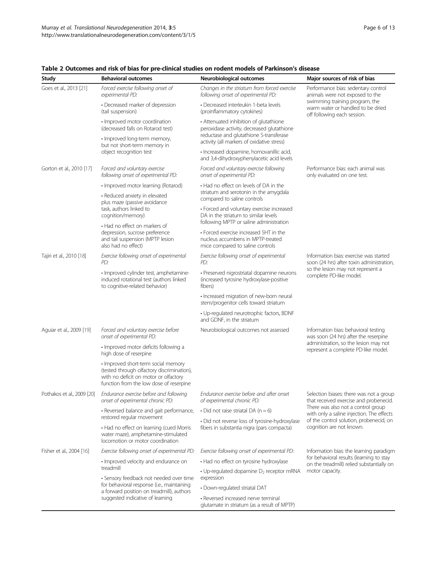| Study                      | <b>Behavioral outcomes</b>                                                                                                                                                          | Neurobiological outcomes                                                                                                     | Major sources of risk of bias                                                                                                                                                |  |
|----------------------------|-------------------------------------------------------------------------------------------------------------------------------------------------------------------------------------|------------------------------------------------------------------------------------------------------------------------------|------------------------------------------------------------------------------------------------------------------------------------------------------------------------------|--|
| Goes et al., 2013 [21]     | Forced exercise following onset of<br>experimental PD:                                                                                                                              | Changes in the striatum from forced exercise<br>following onset of experimental PD:                                          | Performance bias: sedentary control<br>animals were not exposed to the<br>swimming training program, the<br>warm water or handled to be dried<br>off following each session. |  |
|                            | • Decreased marker of depression<br>(tail suspension)                                                                                                                               | • Decreased interleukin 1-beta levels<br>(proinflammatory cytokines)                                                         |                                                                                                                                                                              |  |
|                            | · Improved motor coordination<br>(decreased falls on Rotarod test)                                                                                                                  | • Attenuated inhibition of glutathione<br>peroxidase activity, decreased glutathione                                         |                                                                                                                                                                              |  |
|                            | · Improved long-term memory,<br>but not short-term memory in<br>object recognition test                                                                                             | reductase and glutathione S-transferase<br>activity (all markers of oxidative stress)                                        |                                                                                                                                                                              |  |
|                            |                                                                                                                                                                                     | · Increased dopamine, homovanillic acid,<br>and 3,4-dihydroxyphenylacetic acid levels                                        |                                                                                                                                                                              |  |
| Gorton et al., 2010 [17]   | Forced and voluntary exercise<br>following onset of experimental PD:                                                                                                                | Forced and voluntary exercise following<br>onset of experimental PD:                                                         | Performance bias: each animal was<br>only evaluated on one test.                                                                                                             |  |
|                            | · Improved motor learning (Rotarod)                                                                                                                                                 | • Had no effect on levels of DA in the                                                                                       |                                                                                                                                                                              |  |
|                            | • Reduced anxiety in elevated<br>plus maze (passive avoidance<br>task, authors linked to<br>cognition/memory)                                                                       | striatum and serotonin in the amygdala<br>compared to saline controls                                                        |                                                                                                                                                                              |  |
|                            |                                                                                                                                                                                     | • Forced and voluntary exercise increased<br>DA in the striatum to similar levels<br>following MPTP or saline administration |                                                                                                                                                                              |  |
|                            | • Had no effect on markers of                                                                                                                                                       | • Forced exercise increased 5HT in the                                                                                       |                                                                                                                                                                              |  |
|                            | depression, sucrose preference<br>and tail suspension (MPTP lesion<br>also had no effect)                                                                                           | nucleus accumbens in MPTP-treated<br>mice compared to saline controls                                                        |                                                                                                                                                                              |  |
| Tajiri et al., 2010 [18]   | Exercise following onset of experimental<br>PD:                                                                                                                                     | Exercise following onset of experimental<br>PD:                                                                              | Information bias: exercise was started<br>soon (24 hrs) after toxin administration,                                                                                          |  |
|                            | · Improved cylinder test, amphetamine-<br>induced rotational test (authors linked<br>to cognitive-related behavior)                                                                 | · Preserved nigrostriatal dopamine neurons<br>(increased tyrosine hydroxylase-positive<br>fibers)                            | so the lesion may not represent a<br>complete PD-like model.                                                                                                                 |  |
|                            |                                                                                                                                                                                     | · Increased migration of new-born neural<br>stem/progenitor cells toward striatum                                            |                                                                                                                                                                              |  |
|                            |                                                                                                                                                                                     | • Up-regulated neurotrophic factors, BDNF<br>and GDNF, in the striatum                                                       |                                                                                                                                                                              |  |
| Aguiar et al., 2009 [19]   | Forced and voluntary exercise before<br>onset of experimental PD:                                                                                                                   | Neurobiological outcomes not assessed                                                                                        | Information bias: behavioral testing<br>was soon (24 hrs) after the reserpine                                                                                                |  |
|                            | · Improved motor deficits following a<br>high dose of reserpine                                                                                                                     |                                                                                                                              | administration, so the lesion may not<br>represent a complete PD-like model.                                                                                                 |  |
|                            | · Improved short-term social memory<br>(tested through olfactory discrimination),<br>with no deficit on motor or olfactory<br>function from the low dose of reserpine               |                                                                                                                              |                                                                                                                                                                              |  |
| Pothakos et al., 2009 [20] | Endurance exercise before and following<br>onset of experimental chronic PD:                                                                                                        | Endurance exercise before and after onset<br>of experimental chronic PD:                                                     | Selection biases: there was not a group<br>that received exercise and probenecid.                                                                                            |  |
|                            | · Reversed balance and gait performance,                                                                                                                                            | • Did not raise striatal DA ( $n = 6$ )                                                                                      | There was also not a control group<br>with only a saline injection. The effects                                                                                              |  |
|                            | restored regular movement                                                                                                                                                           | • Did not reverse loss of tyrosine-hydroxylase                                                                               | of the control solution, probenecid, on                                                                                                                                      |  |
|                            | • Had no effect on learning (cued Morris<br>water maze), amphetamine-stimulated<br>locomotion or motor coordination                                                                 | fibers in substantia nigra (pars compacta)                                                                                   | cognition are not known.                                                                                                                                                     |  |
| Fisher et al., 2004 [16]   | Exercise following onset of experimental PD:                                                                                                                                        | Exercise following onset of experimental PD:                                                                                 | Information bias: the learning paradigm                                                                                                                                      |  |
|                            | • Improved velocity and endurance on                                                                                                                                                | · Had no effect on tyrosine hydroxylase                                                                                      | for behavioral results (learning to stay<br>on the treadmill) relied substantially on                                                                                        |  |
|                            | treadmill<br>· Sensory feedback not needed over time<br>for behavioral response (i.e., maintaining<br>a forward position on treadmill), authors<br>suggested indicative of learning | • Up-regulated dopamine $D_2$ receptor mRNA<br>expression                                                                    | motor capacity.                                                                                                                                                              |  |
|                            |                                                                                                                                                                                     | · Down-regulated striatal DAT                                                                                                |                                                                                                                                                                              |  |
|                            |                                                                                                                                                                                     | • Reversed increased nerve terminal<br>glutamate in striatum (as a result of MPTP)                                           |                                                                                                                                                                              |  |

# <span id="page-5-0"></span>Table 2 Outcomes and risk of bias for pre-clinical studies on rodent models of Parkinson's disease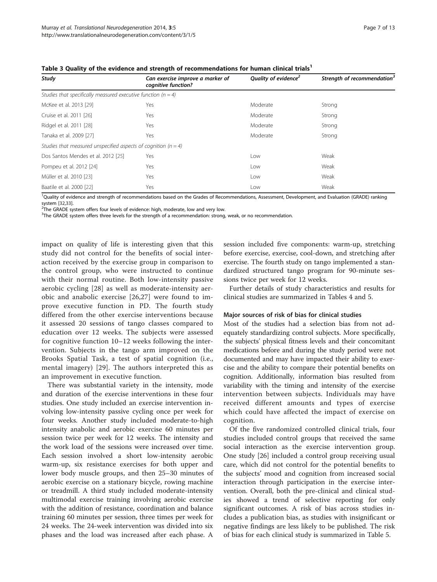| נשטונו שעמות פו עון כוויס ליומכווכל מוומ טנוכווקנוו טו וככסווווווכווממנוטווט וטו וומווומוו כוווווכמו נוומוט |                                                         |                                  |                                         |
|-------------------------------------------------------------------------------------------------------------|---------------------------------------------------------|----------------------------------|-----------------------------------------|
| Study                                                                                                       | Can exercise improve a marker of<br>cognitive function? | Quality of evidence <sup>2</sup> | Strength of recommendation <sup>3</sup> |
| Studies that specifically measured executive function ( $n = 4$ )                                           |                                                         |                                  |                                         |
| McKee et al. 2013 [29]                                                                                      | Yes                                                     | Moderate                         | Strong                                  |
| Cruise et al. 2011 [26]                                                                                     | Yes                                                     | Moderate                         | Strong                                  |
| Ridgel et al. 2011 [28]                                                                                     | Yes                                                     | Moderate                         | Strong                                  |
| Tanaka et al. 2009 [27]                                                                                     | Yes                                                     | Moderate                         | Strong                                  |
| Studies that measured unspecified aspects of cognition ( $n = 4$ )                                          |                                                         |                                  |                                         |
| Dos Santos Mendes et al. 2012 [25]                                                                          | Yes                                                     | Low                              | Weak                                    |
| Pompeu et al. 2012 [24]                                                                                     | Yes                                                     | Low                              | Weak                                    |
| Müller et al. 2010 [23]                                                                                     | Yes                                                     | Low                              | Weak                                    |
| Baatile et al. 2000 [22]                                                                                    | Yes                                                     | Low                              | Weak                                    |

<span id="page-6-0"></span>Table 3 Quality of the evidence and strength of recommendations for human clinical trials<sup>1</sup>

<sup>1</sup>Quality of evidence and strength of recommendations based on the Grades of Recommendations, Assessment, Development, and Evaluation (GRADE) ranking system [\[32](#page-12-0),[33\]](#page-12-0). <sup>2</sup>

 $2$ The GRADE system offers four levels of evidence: high, moderate, low and very low.

<sup>3</sup>The GRADE system offers three levels for the strength of a recommendation: strong, weak, or no recommendation.

impact on quality of life is interesting given that this study did not control for the benefits of social interaction received by the exercise group in comparison to the control group, who were instructed to continue with their normal routine. Both low-intensity passive aerobic cycling [[28](#page-12-0)] as well as moderate-intensity aerobic and anabolic exercise [\[26,27](#page-12-0)] were found to improve executive function in PD. The fourth study differed from the other exercise interventions because it assessed 20 sessions of tango classes compared to education over 12 weeks. The subjects were assessed for cognitive function 10–12 weeks following the intervention. Subjects in the tango arm improved on the Brooks Spatial Task, a test of spatial cognition (i.e., mental imagery) [\[29](#page-12-0)]. The authors interpreted this as an improvement in executive function.

There was substantial variety in the intensity, mode and duration of the exercise interventions in these four studies. One study included an exercise intervention involving low-intensity passive cycling once per week for four weeks. Another study included moderate-to-high intensity anabolic and aerobic exercise 60 minutes per session twice per week for 12 weeks. The intensity and the work load of the sessions were increased over time. Each session involved a short low-intensity aerobic warm-up, six resistance exercises for both upper and lower body muscle groups, and then 25–30 minutes of aerobic exercise on a stationary bicycle, rowing machine or treadmill. A third study included moderate-intensity multimodal exercise training involving aerobic exercise with the addition of resistance, coordination and balance training 60 minutes per session, three times per week for 24 weeks. The 24-week intervention was divided into six phases and the load was increased after each phase. A

session included five components: warm-up, stretching before exercise, exercise, cool-down, and stretching after exercise. The fourth study on tango implemented a standardized structured tango program for 90-minute sessions twice per week for 12 weeks.

Further details of study characteristics and results for clinical studies are summarized in Tables [4](#page-7-0) and [5](#page-8-0).

#### Major sources of risk of bias for clinical studies

Most of the studies had a selection bias from not adequately standardizing control subjects. More specifically, the subjects' physical fitness levels and their concomitant medications before and during the study period were not documented and may have impacted their ability to exercise and the ability to compare their potential benefits on cognition. Additionally, information bias resulted from variability with the timing and intensity of the exercise intervention between subjects. Individuals may have received different amounts and types of exercise which could have affected the impact of exercise on cognition.

Of the five randomized controlled clinical trials, four studies included control groups that received the same social interaction as the exercise intervention group. One study [\[26\]](#page-12-0) included a control group receiving usual care, which did not control for the potential benefits to the subjects' mood and cognition from increased social interaction through participation in the exercise intervention. Overall, both the pre-clinical and clinical studies showed a trend of selective reporting for only significant outcomes. A risk of bias across studies includes a publication bias, as studies with insignificant or negative findings are less likely to be published. The risk of bias for each clinical study is summarized in Table [5.](#page-8-0)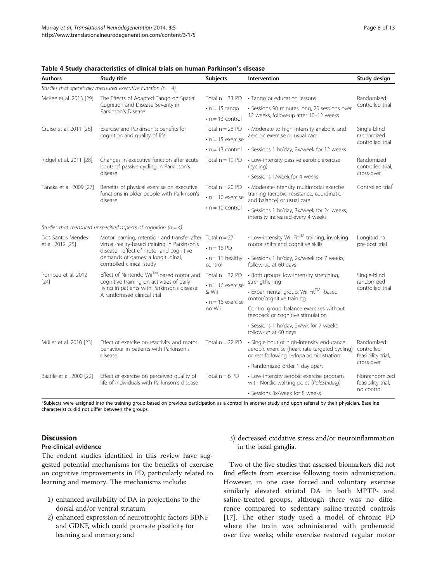<span id="page-7-0"></span>

| Table 4 Study characteristics of clinical trials on human Parkinson's disease |  |  |
|-------------------------------------------------------------------------------|--|--|
|-------------------------------------------------------------------------------|--|--|

| <b>Authors</b>               | Study title                                                                                                                                                                                                               | Subjects                          | Intervention                                                                                                                                | Study design                                                 |
|------------------------------|---------------------------------------------------------------------------------------------------------------------------------------------------------------------------------------------------------------------------|-----------------------------------|---------------------------------------------------------------------------------------------------------------------------------------------|--------------------------------------------------------------|
|                              | Studies that specifically measured executive function ( $n = 4$ )                                                                                                                                                         |                                   |                                                                                                                                             |                                                              |
| McKee et al. 2013 [29]       | The Effects of Adapted Tango on Spatial<br>Cognition and Disease Severity in<br>Parkinson's Disease                                                                                                                       | Total $n = 33$ PD                 | • Tango or education lessons                                                                                                                | Randomized                                                   |
|                              |                                                                                                                                                                                                                           | $\cdot$ n = 15 tango              | · Sessions 90 minutes long, 20 sessions over<br>12 weeks, follow-up after 10-12 weeks                                                       | controlled trial                                             |
|                              |                                                                                                                                                                                                                           | $\cdot$ n = 13 control            |                                                                                                                                             |                                                              |
| Cruise et al. 2011 [26]      | Exercise and Parkinson's: benefits for<br>cognition and quality of life                                                                                                                                                   | Total $n = 28$ PD                 | • Moderate-to-high-intensity anabolic and<br>aerobic exercise or usual care<br>• Sessions 1 hr/day, 2x/week for 12 weeks                    | Single-blind<br>randomized<br>controlled trial               |
|                              |                                                                                                                                                                                                                           | $\cdot$ n = 15 exercise           |                                                                                                                                             |                                                              |
|                              |                                                                                                                                                                                                                           | $\cdot$ n = 13 control            |                                                                                                                                             |                                                              |
| Ridgel et al. 2011 [28]      | Changes in executive function after acute<br>bouts of passive cycling in Parkinson's<br>disease                                                                                                                           | Total $n = 19$ PD                 | • Low-intensity passive aerobic exercise<br>(cycling)                                                                                       | Randomized<br>controlled trial,<br>cross-over                |
|                              |                                                                                                                                                                                                                           |                                   | • Sessions 1/week for 4 weeks                                                                                                               |                                                              |
| Tanaka et al. 2009 [27]      | Benefits of physical exercise on executive                                                                                                                                                                                | Total $n = 20$ PD                 | • Moderate-intensity multimodal exercise                                                                                                    | Controlled trial                                             |
|                              | functions in older people with Parkinson's<br>disease                                                                                                                                                                     | $\cdot$ n = 10 exercise           | training (aerobic, resistance, coordination<br>and balance) or usual care                                                                   |                                                              |
|                              |                                                                                                                                                                                                                           | $\cdot$ n = 10 control            | · Sessions 1 hr/day, 3x/week for 24 weeks,<br>intensity increased every 4 weeks                                                             |                                                              |
|                              | Studies that measured unspecified aspects of cognition ( $n = 4$ )                                                                                                                                                        |                                   |                                                                                                                                             |                                                              |
| Dos Santos Mendes            | Motor learning, retention and transfer after Total $n = 27$<br>virtual-reality-based training in Parkinson's<br>disease - effect of motor and cognitive<br>demands of games: a longitudinal,<br>controlled clinical study |                                   | • Low-intensity Wii Fit <sup>TM</sup> training, involving                                                                                   | Longitudinal<br>pre-post trial                               |
| et al. 2012 [25]             |                                                                                                                                                                                                                           | $\cdot$ n = 16 PD                 | motor shifts and cognitive skills                                                                                                           |                                                              |
|                              |                                                                                                                                                                                                                           | $\cdot$ n = 11 healthy<br>control | · Sessions 1 hr/day, 2x/week for 7 weeks,<br>follow-up at 60 days                                                                           |                                                              |
| Pompeu et al. 2012<br>$[24]$ | Effect of Nintendo Wii™-based motor and<br>cognitive training on activities of daily<br>living in patients with Parkinson's disease:<br>A randomised clinical trial                                                       | Total $n = 32$ PD                 | · Both groups: low-intensity stretching,<br>strengthening<br>• Experimental group: Wii Fit <sup>TM</sup> -based<br>motor/cognitive training | Single-blind<br>randomized<br>controlled trial               |
|                              |                                                                                                                                                                                                                           | $\cdot$ n = 16 exercise           |                                                                                                                                             |                                                              |
|                              |                                                                                                                                                                                                                           | & Wii                             |                                                                                                                                             |                                                              |
|                              |                                                                                                                                                                                                                           | $\cdot$ n = 16 exercise<br>no Wii | Control group: balance exercises without<br>feedback or cognitive stimulation                                                               |                                                              |
|                              |                                                                                                                                                                                                                           |                                   | · Sessions 1 hr/day, 2x/wk for 7 weeks,<br>follow-up at 60 days                                                                             |                                                              |
| Müller et al. 2010 [23]      | Effect of exercise on reactivity and motor<br>behaviour in patients with Parkinson's<br>disease                                                                                                                           | Total $n = 22$ PD                 | • Single bout of high-intensity endurance<br>aerobic exercise (heart rate-targeted cycling)<br>or rest following L-dopa administration      | Randomized<br>controlled<br>feasibility trial,<br>cross-over |
|                              |                                                                                                                                                                                                                           |                                   | • Randomized order 1 day apart                                                                                                              |                                                              |
| Baatile et al. 2000 [22]     | Effect of exercise on perceived quality of<br>life of individuals with Parkinson's disease                                                                                                                                | Total $n = 6$ PD                  | • Low-intensity aerobic exercise program<br>with Nordic walking poles (PoleStriding)                                                        | Nonrandomized<br>feasibility trial,<br>no control            |
|                              |                                                                                                                                                                                                                           |                                   | • Sessions 3x/week for 8 weeks                                                                                                              |                                                              |

\*Subjects were assigned into the training group based on previous participation as a control in another study and upon referral by their physician. Baseline characteristics did not differ between the groups.

# **Discussion**

# Pre-clinical evidence

The rodent studies identified in this review have suggested potential mechanisms for the benefits of exercise on cognitive improvements in PD, particularly related to learning and memory. The mechanisms include:

- 1) enhanced availability of DA in projections to the dorsal and/or ventral striatum;
- 2) enhanced expression of neurotrophic factors BDNF and GDNF, which could promote plasticity for learning and memory; and

3) decreased oxidative stress and/or neuroinflammation in the basal ganglia.

Two of the five studies that assessed biomarkers did not find effects from exercise following toxin administration. However, in one case forced and voluntary exercise similarly elevated striatal DA in both MPTP- and saline-treated groups, although there was no difference compared to sedentary saline-treated controls [[17\]](#page-11-0). The other study used a model of chronic PD where the toxin was administered with probenecid over five weeks; while exercise restored regular motor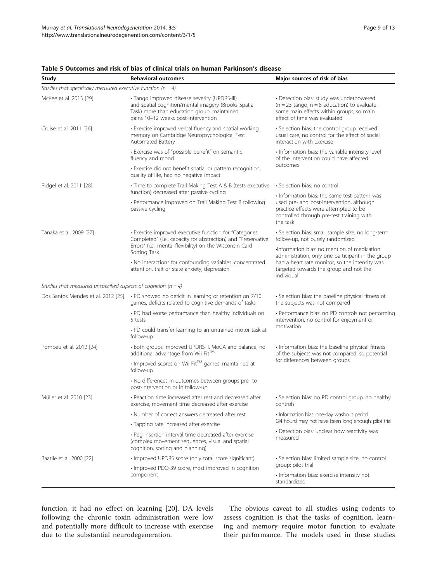| Study                                                              | <b>Behavioral outcomes</b>                                                                                                                                                                  | Major sources of risk of bias                                                                                                                                                                |  |
|--------------------------------------------------------------------|---------------------------------------------------------------------------------------------------------------------------------------------------------------------------------------------|----------------------------------------------------------------------------------------------------------------------------------------------------------------------------------------------|--|
| Studies that specifically measured executive function ( $n = 4$ )  |                                                                                                                                                                                             |                                                                                                                                                                                              |  |
| McKee et al. 2013 [29]                                             | · Tango improved disease severity (UPDRS-III)<br>and spatial cognition/mental imagery (Brooks Spatial<br>Task) more than education group, maintained<br>gains 10-12 weeks post-intervention | · Detection bias: study was underpowered<br>$(n = 23 \text{ tango}, n = 8 \text{ education})$ to evaluate<br>some main effects within groups, so main<br>effect of time was evaluated        |  |
| Cruise et al. 2011 [26]                                            | • Exercise improved verbal fluency and spatial working<br>memory on Cambridge Neuropsychological Test<br>Automated Battery                                                                  | · Selection bias: the control group received<br>usual care, no control for the effect of social<br>interaction with exercise                                                                 |  |
|                                                                    | • Exercise was of "possible benefit" on semantic<br>fluency and mood                                                                                                                        | • Information bias: the variable intensity level<br>of the intervention could have affected                                                                                                  |  |
|                                                                    | · Exercise did not benefit spatial or pattern recognition,<br>quality of life, had no negative impact                                                                                       | outcomes                                                                                                                                                                                     |  |
| Ridgel et al. 2011 [28]                                            | • Time to complete Trail Making Test A & B (tests executive<br>function) decreased after passive cycling                                                                                    | • Selection bias: no control                                                                                                                                                                 |  |
|                                                                    | • Performance improved on Trail Making Test B following<br>passive cycling                                                                                                                  | • Information bias: the same test pattern was<br>used pre- and post-intervention, although<br>practice effects were attempted to be<br>controlled through pre-test training with<br>the task |  |
| Tanaka et al. 2009 [27]                                            | • Exercise improved executive function for "Categories<br>Completed" (i.e., capacity for abstraction) and "Preservative                                                                     | · Selection bias: small sample size, no long-term<br>follow-up, not purely randomized                                                                                                        |  |
|                                                                    | Errors" (i.e., mental flexibility) on the Wisconsin Card<br>Sorting Task<br>• No interactions for confounding variables: concentrated<br>attention, trait or state anxiety, depression      | Information bias: no mention of medication<br>administration; only one participant in the group<br>had a heart rate monitor, so the intensity was<br>targeted towards the group and not the  |  |
|                                                                    |                                                                                                                                                                                             | individual                                                                                                                                                                                   |  |
| Studies that measured unspecified aspects of cognition ( $n = 4$ ) |                                                                                                                                                                                             |                                                                                                                                                                                              |  |
| Dos Santos Mendes et al. 2012 [25]                                 | • PD showed no deficit in learning or retention on 7/10<br>games, deficits related to cognitive demands of tasks                                                                            | • Selection bias: the baseline physical fitness of<br>the subjects was not compared                                                                                                          |  |
|                                                                    | • PD had worse performance than healthy individuals on<br>5 tests                                                                                                                           | • Performance bias: no PD controls not performing<br>intervention, no control for enjoyment or                                                                                               |  |
|                                                                    | • PD could transfer learning to an untrained motor task at<br>follow-up                                                                                                                     | motivation                                                                                                                                                                                   |  |
| Pompeu et al. 2012 [24]                                            | • Both groups improved UPDRS-II, MoCA and balance, no<br>additional advantage from Wii Fit™                                                                                                 | • Information bias: the baseline physical fitness<br>of the subjects was not compared, so potential                                                                                          |  |
|                                                                    | • Improved scores on Wii Fit <sup>TM</sup> games, maintained at<br>follow-up                                                                                                                | for differences between groups                                                                                                                                                               |  |
|                                                                    | · No differences in outcomes between groups pre- to<br>post-intervention or in follow-up                                                                                                    |                                                                                                                                                                                              |  |
| Müller et al. 2010 [23]                                            | • Reaction time increased after rest and decreased after<br>exercise, movement time decreased after exercise                                                                                | · Selection bias: no PD control group, no healthy<br>controls                                                                                                                                |  |
|                                                                    | • Number of correct answers decreased after rest                                                                                                                                            | • Information bias: one-day washout period                                                                                                                                                   |  |
|                                                                    | · Tapping rate increased after exercise                                                                                                                                                     | (24 hours) may not have been long enough; pilot trial                                                                                                                                        |  |
|                                                                    | · Peg insertion interval time decreased after exercise<br>(complex movement sequences, visual and spatial<br>cognition, sorting and planning)                                               | • Detection bias: unclear how reactivity was<br>measured                                                                                                                                     |  |
| Baatile et al. 2000 [22]                                           | · Improved UPDRS score (only total score significant)                                                                                                                                       | · Selection bias: limited sample size, no control<br>group; pilot trial                                                                                                                      |  |
|                                                                    | • Improved PDQ-39 score, most improved in cognition<br>component                                                                                                                            | · Information bias: exercise intensity not<br>standardized                                                                                                                                   |  |

# <span id="page-8-0"></span>Table 5 Outcomes and risk of bias of clinical trials on human Parkinson's disease

function, it had no effect on learning [[20\]](#page-12-0). DA levels following the chronic toxin administration were low and potentially more difficult to increase with exercise due to the substantial neurodegeneration.

The obvious caveat to all studies using rodents to assess cognition is that the tasks of cognition, learning and memory require motor function to evaluate their performance. The models used in these studies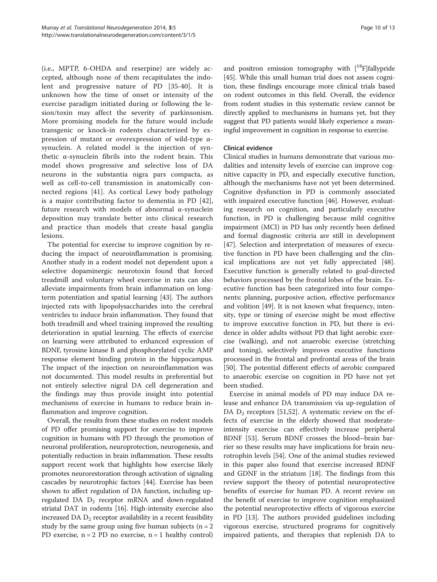(i.e., MPTP, 6-OHDA and reserpine) are widely accepted, although none of them recapitulates the indolent and progressive nature of PD [[35-40](#page-12-0)]. It is unknown how the time of onset or intensity of the exercise paradigm initiated during or following the lesion/toxin may affect the severity of parkinsonism. More promising models for the future would include transgenic or knock-in rodents characterized by expression of mutant or overexpression of wild-type αsynuclein. A related model is the injection of synthetic α-synuclein fibrils into the rodent brain. This model shows progressive and selective loss of DA neurons in the substantia nigra pars compacta, as well as cell-to-cell transmission in anatomically connected regions [\[41](#page-12-0)]. As cortical Lewy body pathology is a major contributing factor to dementia in PD [\[42](#page-12-0)], future research with models of abnormal α-synuclein deposition may translate better into clinical research and practice than models that create basal ganglia lesions.

The potential for exercise to improve cognition by reducing the impact of neuroinflammation is promising. Another study in a rodent model not dependent upon a selective dopaminergic neurotoxin found that forced treadmill and voluntary wheel exercise in rats can also alleviate impairments from brain inflammation on longterm potentiation and spatial learning [\[43](#page-12-0)]. The authors injected rats with lipopolysaccharides into the cerebral ventricles to induce brain inflammation. They found that both treadmill and wheel training improved the resulting deterioration in spatial learning. The effects of exercise on learning were attributed to enhanced expression of BDNF, tyrosine kinase B and phosphorylated cyclic AMP response element binding protein in the hippocampus. The impact of the injection on neuroinflammation was not documented. This model results in preferential but not entirely selective nigral DA cell degeneration and the findings may thus provide insight into potential mechanisms of exercise in humans to reduce brain inflammation and improve cognition.

Overall, the results from these studies on rodent models of PD offer promising support for exercise to improve cognition in humans with PD through the promotion of neuronal proliferation, neuroprotection, neurogenesis, and potentially reduction in brain inflammation. These results support recent work that highlights how exercise likely promotes neurorestoration through activation of signaling cascades by neurotrophic factors [\[44](#page-12-0)]. Exercise has been shown to affect regulation of DA function, including upregulated DA  $D_2$  receptor mRNA and down-regulated striatal DAT in rodents [[16](#page-11-0)]. High-intensity exercise also increased DA  $D_2$  receptor availability in a recent feasibility study by the same group using five human subjects ( $n = 2$ ) PD exercise,  $n = 2$  PD no exercise,  $n = 1$  healthy control)

and positron emission tomography with  $[18F]$ fallypride [[45](#page-12-0)]. While this small human trial does not assess cognition, these findings encourage more clinical trials based on rodent outcomes in this field. Overall, the evidence from rodent studies in this systematic review cannot be directly applied to mechanisms in humans yet, but they suggest that PD patients would likely experience a meaningful improvement in cognition in response to exercise.

# Clinical evidence

Clinical studies in humans demonstrate that various modalities and intensity levels of exercise can improve cognitive capacity in PD, and especially executive function, although the mechanisms have not yet been determined. Cognitive dysfunction in PD is commonly associated with impaired executive function [[46\]](#page-12-0). However, evaluating research on cognition, and particularly executive function, in PD is challenging because mild cognitive impairment (MCI) in PD has only recently been defined and formal diagnostic criteria are still in development [[47\]](#page-12-0). Selection and interpretation of measures of executive function in PD have been challenging and the clinical implications are not yet fully appreciated [\[48](#page-12-0)]. Executive function is generally related to goal-directed behaviors processed by the frontal lobes of the brain. Executive function has been categorized into four components: planning, purposive action, effective performance and volition [\[49](#page-12-0)]. It is not known what frequency, intensity, type or timing of exercise might be most effective to improve executive function in PD, but there is evidence in older adults without PD that light aerobic exercise (walking), and not anaerobic exercise (stretching and toning), selectively improves executive functions processed in the frontal and prefrontal areas of the brain [[50\]](#page-12-0). The potential different effects of aerobic compared to anaerobic exercise on cognition in PD have not yet been studied.

Exercise in animal models of PD may induce DA release and enhance DA transmission via up-regulation of DA  $D_2$  receptors [[51,52\]](#page-12-0). A systematic review on the effects of exercise in the elderly showed that moderateintensity exercise can effectively increase peripheral BDNF [[53](#page-12-0)]. Serum BDNF crosses the blood–brain barrier so these results may have implications for brain neurotrophin levels [\[54](#page-12-0)]. One of the animal studies reviewed in this paper also found that exercise increased BDNF and GDNF in the striatum [[18](#page-11-0)]. The findings from this review support the theory of potential neuroprotective benefits of exercise for human PD. A recent review on the benefit of exercise to improve cognition emphasized the potential neuroprotective effects of vigorous exercise in PD [[13\]](#page-11-0). The authors provided guidelines including vigorous exercise, structured programs for cognitively impaired patients, and therapies that replenish DA to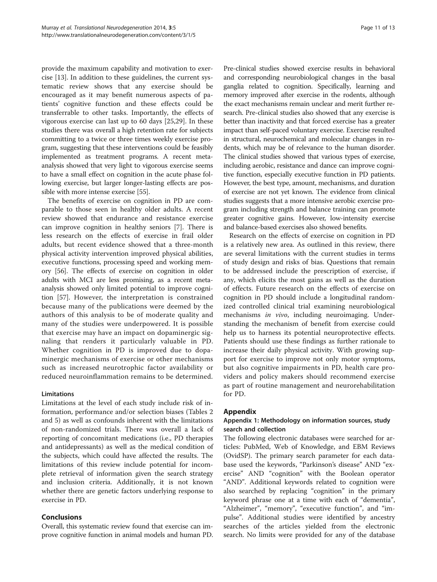<span id="page-10-0"></span>provide the maximum capability and motivation to exercise [[13\]](#page-11-0). In addition to these guidelines, the current systematic review shows that any exercise should be encouraged as it may benefit numerous aspects of patients' cognitive function and these effects could be transferrable to other tasks. Importantly, the effects of vigorous exercise can last up to 60 days [\[25,29](#page-12-0)]. In these studies there was overall a high retention rate for subjects committing to a twice or three times weekly exercise program, suggesting that these interventions could be feasibly implemented as treatment programs. A recent metaanalysis showed that very light to vigorous exercise seems to have a small effect on cognition in the acute phase following exercise, but larger longer-lasting effects are possible with more intense exercise [[55](#page-12-0)].

The benefits of exercise on cognition in PD are comparable to those seen in healthy older adults. A recent review showed that endurance and resistance exercise can improve cognition in healthy seniors [\[7](#page-11-0)]. There is less research on the effects of exercise in frail older adults, but recent evidence showed that a three-month physical activity intervention improved physical abilities, executive functions, processing speed and working memory [[56](#page-12-0)]. The effects of exercise on cognition in older adults with MCI are less promising, as a recent metaanalysis showed only limited potential to improve cognition [[57](#page-12-0)]. However, the interpretation is constrained because many of the publications were deemed by the authors of this analysis to be of moderate quality and many of the studies were underpowered. It is possible that exercise may have an impact on dopaminergic signaling that renders it particularly valuable in PD. Whether cognition in PD is improved due to dopaminergic mechanisms of exercise or other mechanisms such as increased neurotrophic factor availability or reduced neuroinflammation remains to be determined.

# Limitations

Limitations at the level of each study include risk of information, performance and/or selection biases (Tables [2](#page-5-0) and [5\)](#page-8-0) as well as confounds inherent with the limitations of non-randomized trials. There was overall a lack of reporting of concomitant medications (i.e., PD therapies and antidepressants) as well as the medical condition of the subjects, which could have affected the results. The limitations of this review include potential for incomplete retrieval of information given the search strategy and inclusion criteria. Additionally, it is not known whether there are genetic factors underlying response to exercise in PD.

# Conclusions

Overall, this systematic review found that exercise can improve cognitive function in animal models and human PD.

Pre-clinical studies showed exercise results in behavioral and corresponding neurobiological changes in the basal ganglia related to cognition. Specifically, learning and memory improved after exercise in the rodents, although the exact mechanisms remain unclear and merit further research. Pre-clinical studies also showed that any exercise is better than inactivity and that forced exercise has a greater impact than self-paced voluntary exercise. Exercise resulted in structural, neurochemical and molecular changes in rodents, which may be of relevance to the human disorder. The clinical studies showed that various types of exercise, including aerobic, resistance and dance can improve cognitive function, especially executive function in PD patients. However, the best type, amount, mechanisms, and duration of exercise are not yet known. The evidence from clinical studies suggests that a more intensive aerobic exercise program including strength and balance training can promote greater cognitive gains. However, low-intensity exercise and balance-based exercises also showed benefits.

Research on the effects of exercise on cognition in PD is a relatively new area. As outlined in this review, there are several limitations with the current studies in terms of study design and risks of bias. Questions that remain to be addressed include the prescription of exercise, if any, which elicits the most gains as well as the duration of effects. Future research on the effects of exercise on cognition in PD should include a longitudinal randomized controlled clinical trial examining neurobiological mechanisms in vivo, including neuroimaging. Understanding the mechanism of benefit from exercise could help us to harness its potential neuroprotective effects. Patients should use these findings as further rationale to increase their daily physical activity. With growing support for exercise to improve not only motor symptoms, but also cognitive impairments in PD, health care providers and policy makers should recommend exercise as part of routine management and neurorehabilitation for PD.

# Appendix

# Appendix 1: Methodology on information sources, study search and collection

The following electronic databases were searched for articles: PubMed, Web of Knowledge, and EBM Reviews (OvidSP). The primary search parameter for each database used the keywords, "Parkinson's disease" AND "exercise" AND "cognition" with the Boolean operator "AND". Additional keywords related to cognition were also searched by replacing "cognition" in the primary keyword phrase one at a time with each of "dementia", "Alzheimer", "memory", "executive function", and "impulse". Additional studies were identified by ancestry searches of the articles yielded from the electronic search. No limits were provided for any of the database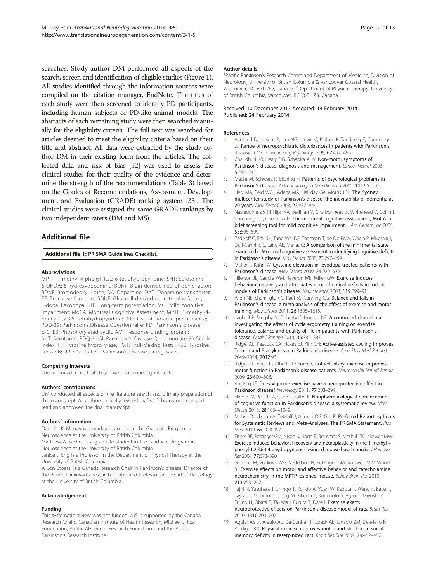<span id="page-11-0"></span>searches. Study author DM performed all aspects of the search, screen and identification of eligible studies (Figure [1\)](#page-2-0). All studies identified through the information sources were compiled on the citation manager, EndNote. The titles of each study were then screened to identify PD participants, including human subjects or PD-like animal models. The abstracts of each remaining study were then searched manually for the eligibility criteria. The full text was searched for articles deemed to meet the eligibility criteria based on their title and abstract. All data were extracted by the study author DM in their existing form from the articles. The collected data and risk of bias [\[32](#page-12-0)] was used to assess the clinical studies for their quality of the evidence and determine the strength of the recommendations (Table [3](#page-6-0)) based on the Grades of Recommendations, Assessment, Development, and Evaluation (GRADE) ranking system [\[33\]](#page-12-0). The clinical studies were assigned the same GRADE rankings by two independent raters (DM and MS).

# Additional file

[Additional file 1:](http://www.biomedcentral.com/content/supplementary/2047-9158-3-5-S1.pdf) PRISMA Guidelines Checklist.

#### Abbreviations

MPTP: 1-methyl-4-phenyl-1,2,3,6-tetrahydropyridine; 5HT: Serotonin; 6-OHDA: 6-hydroxydopamine; BDNF: Brain-derived neurotrophic factor; BDNF: Bromodeoxyuridine; DA: Dopamine; DAT: Dopamine transporter; EF: Executive function; GDNF: Glial cell-derived neurotrophic factor; L-dopa: Levodopa; LTP: Long-term potentiation; MCI: Mild cognitive impairment; MoCA: Montreal Cognitive Assessment; MPTP: 1-methyl-4 phenyl-1,2,3,6,-tetrahydropyridine; ORP: Overall Rotarod performance; PDQ-39: Parkinson's Disease Questionnaire; PD: Parkinson's disease; p-CREB: Phosphorylated cyclic AMP response binding protein; 5HT: Serotonin; PDQ-39-SI: Parkinson's Disease Questionnaire-39-Single Index; TH: Tyrosine hydroxylase; TMT: Trail-Making Test; Trk-B: Tyrosine kinase B; UPDRS: Unified Parkinson's Disease Rating Scale.

#### Competing interests

The authors declare that they have no competing interests.

#### Authors' contributions

DM conducted all aspects of the literature search and primary preparation of this manuscript. All authors critically revised drafts of this manuscript, and read and approved the final manuscript.

#### Authors' information

Danielle K. Murray is a graduate student in the Graduate Program in Neuroscience at the University of British Columbia.

Matthew A. Sacheli is a graduate student in the Graduate Program in Neuroscience at the University of British Columbia.

Janice J. Eng is a Professor in the Department of Physical Therapy at the University of British Columbia.

A. Jon Stoessl is a Canada Research Chair in Parkinson's disease, Director of the Pacific Parkinson's Research Centre and Professor and Head of Neurology at the University of British Columbia.

#### Acknowledgement

#### Funding

This systematic review was not funded. AJS is supported by the Canada Research Chairs, Canadian Institute of Health Research, Michael J. Fox Foundation, Pacific Alzheimer Research Foundation and the Pacific Parkinson's Research Institute.

#### Author details

<sup>1</sup>Pacific Parkinson's Research Centre and Department of Medicine, Division of Neurology, University of British Columbia & Vancouver Coastal Health, Vancouver, BC V6T 2B5, Canada. <sup>2</sup>Department of Physical Therapy, University of British Columbia, Vancouver, BC V6T 1Z3, Canada.

#### Received: 10 December 2013 Accepted: 14 February 2014 Published: 24 February 2014

#### References

- Aarsland D, Larsen JP, Lim NG, Janvin C, Karlsen K, Tandberg E, Cummings JL: Range of neuropsychiatric disturbances in patients with Parkinson's disease. J Neurol Neurosurg Psychiatry 1999, 67:492-496.
- 2. Chaudhuri KR, Healy DG, Schapira AHV: Non-motor symptoms of Parkinson's disease: diagnosis and management. Lancet Neurol 2006, 5:235–245.
- 3. Macht M, Schwarz R, Ellgring H: Patterns of psychological problems in Parkinson's disease. Acta neurologica Scandinavica 2005, 111:95–101.
- 4. Hely MA, Reid WGJ, Adena MA, Halliday GA, Morris JGL: The Sydney multicenter study of Parkinson's disease: the inevitability of dementia at 20 years. Mov Disord 2008, 23:837–844.
- 5. Nasreddine ZS, Phillips NA, Bedirian V, Charbonneau S, Whitehead V, Collin I, Cummings JL, Chertkow H: The montreal cognitive assessment, MoCA: a brief screening tool for mild cognitive impairment. J Am Geriatr Soc 2005, 53:695–699.
- 6. Zadikoff C, Fox SH, Tang-Wai DF, Thomsen T, de Bie RMA, Wadia P, Miyasaki J, Duff-Canning S, Lang AE, Marras C: A comparison of the mini mental state exam to the Montreal cognitive assessment in identifying cognitive deficits in Parkinson's disease. Mov Disord 2008, 23:297–299.
- 7. Muller T, Kuhn W: Cysteine elevation in levodopa-treated patients with Parkinson's disease. Mov Disord 2009, 24:929–932.
- 8. Tillerson JL, Caudle WM, Reveron MF, Miller GW: Exercise induces behavioral recovery and attenuates neurochemical deficits in rodent models of Parkinson's disease. Neuroscience 2003, 119:899–911.
- 9. Allen NE, Sherrington C, Paul SS, Canning CG: Balance and falls in Parkinson's disease: a meta-analysis of the effect of exercise and motor training. Mov Disord 2011, 26:1605–1615.
- 10. Lauhoff P, Murphy N, Doherty C, Horgan NF: A controlled clinical trial investigating the effects of cycle ergometry training on exercise tolerance, balance and quality of life in patients with Parkinson's disease. Disabil Rehabil 2013, 35:382–387.
- 11. Ridgel AL, Peacock CA, Fickes EJ, Kim CH: **Active-assisted cycling improves** Tremor and Bradykinesia in Parkinson's disease. Arch Phys Med Rehabil 2049–2054, 2012:93.
- 12. Ridgel AL, Vitek JL, Alberts JL: Forced, not voluntary, exercise improves motor function in Parkinson's disease patients. Neurorehabil Neural Repair 2009, 23:600–608.
- 13. Ahlskog JE: Does vigorous exercise have a neuroprotective effect in Parkinson disease? Neurology 2011, 77:288–294.
- 14. Hindle JV, Petrelli A, Clare L, Kalbe E: Nonpharmacological enhancement of cognitive function in Parkinson's disease: a systematic review. Mov Disord 2013, 28:1034–1049.
- 15. Moher D, Liberati A, Tetzlaff J, Altman DG, Grp P: Preferred Reporting Items for Systematic Reviews and Meta-Analyses: The PRISMA Statement. Plos Med 2009, 6:e1000097.
- 16. Fisher BE, Petzinger GM, Nixon K, Hogg E, Bremmer S, Meshul CK, Jakowec MW: Exercise-induced behavioral recovery and neuroplasticity in the 1-methyl-4 phenyl-1,2,3,6-tetrahydropyridine- lesioned mouse basal ganglia. J Neurosci Res 2004, 77:378–390.
- 17. Gorton LM, Vuckovic MG, Vertelkina N, Petzinger GM, Jakowec MW, Wood RI: Exercise effects on motor and affective behavior and catecholamine neurochemistry in the MPTP-lesioned mouse. Behav Brain Res 2010, 213:253–262.
- 18. Tajiri N, Yasuhara T, Shingo T, Kondo A, Yuan W, Kadota T, Wang F, Baba T, Tayra JT, Morimoto T, Jing M, Kikuchi Y, Kuramoto S, Agari T, Miyoshi Y, Fujino H, Obata F, Takeda I, Furuta T, Date I: Exercise exerts neuroprotective effects on Parkinson's disease model of rats. Brain Res 2010, 1310:200–207.
- 19. Aguiar AS Jr, Araujo AL, Da-Cunha TR, Speck AE, Ignacio ZM, De-Mello N, Prediger RD: Physical exercise improves motor and short-term social memory deficits in reserpinized rats. Brain Res Bull 2009, 79:452–457.